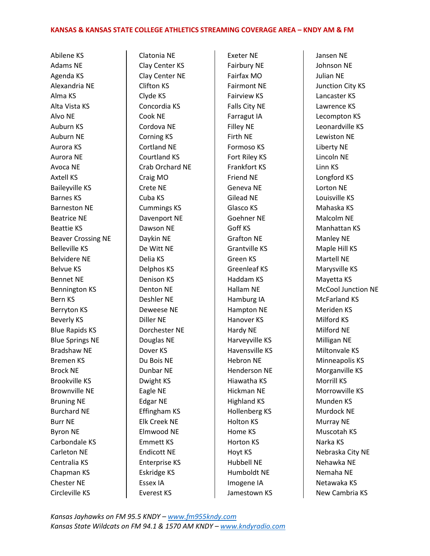Abilene KS Adams NE Agenda KS Alexandria NE Alma KS Alta Vista KS Alvo NE Auburn KS Auburn NE Aurora KS Aurora NE Avoca NE Axtell KS Baileyville KS Barnes KS Barneston NE Beatrice NE Beattie KS Beaver Crossing NE Belleville KS Belvidere NE Belvue KS Bennet NE Bennington KS Bern KS Berryton KS Beverly KS Blue Rapids KS Blue Springs NE Bradshaw NE Bremen KS Brock NE Brookville KS Brownville NE Bruning NE Burchard NE Burr NE Byron NE Carbondale KS Carleton NE Centralia KS Chapman KS Chester NE Circleville KS

Clatonia NE Clay Center KS Clay Center NE Clifton KS Clyde KS Concordia KS Cook NE Cordova NE Corning KS Cortland NE Courtland KS Crab Orchard NE Craig MO Crete NE Cuba KS Cummings KS Davenport NE Dawson NE Daykin NE De Witt NE Delia KS Delphos KS Denison KS Denton NE Deshler NE Deweese NE Diller NE Dorchester NE Douglas NE Dover KS Du Bois NE Dunbar NE Dwight KS Eagle NE Edgar NE Effingham KS Elk Creek NE Elmwood NE Emmett KS Endicott NE Enterprise KS Eskridge KS Essex IA Everest KS

Exeter NE Fairbury NE Fairfax MO Fairmont NE Fairview KS Falls City NE Farragut IA Filley NE Firth NE Formoso KS Fort Riley KS Frankfort KS Friend NE Geneva NE Gilead NE Glasco KS Goehner NE Goff KS Grafton NE Grantville KS Green KS Greenleaf KS Haddam KS Hallam NE Hamburg IA Hampton NE Hanover KS Hardy NE Harveyville KS Havensville KS Hebron NE Henderson NE Hiawatha KS Hickman NE Highland KS Hollenberg KS Holton KS Home KS Horton KS Hoyt KS Hubbell NE Humboldt NE Imogene IA Jamestown KS Jansen NE Johnson NE Julian NE Junction City KS Lancaster KS Lawrence KS Lecompton KS Leonardville KS Lewiston NE Liberty NE Lincoln NE Linn KS Longford KS Lorton NE Louisville KS Mahaska KS Malcolm NE Manhattan KS Manley NE Maple Hill KS Martell NE Marysville KS Mayetta KS McCool Junction NE McFarland KS Meriden KS Milford KS Milford NE Milligan NE Miltonvale KS Minneapolis KS Morganville KS Morrill KS Morrowville KS Munden KS Murdock NE Murray NE Muscotah KS Narka KS Nebraska City NE Nehawka NE Nemaha NE Netawaka KS New Cambria KS